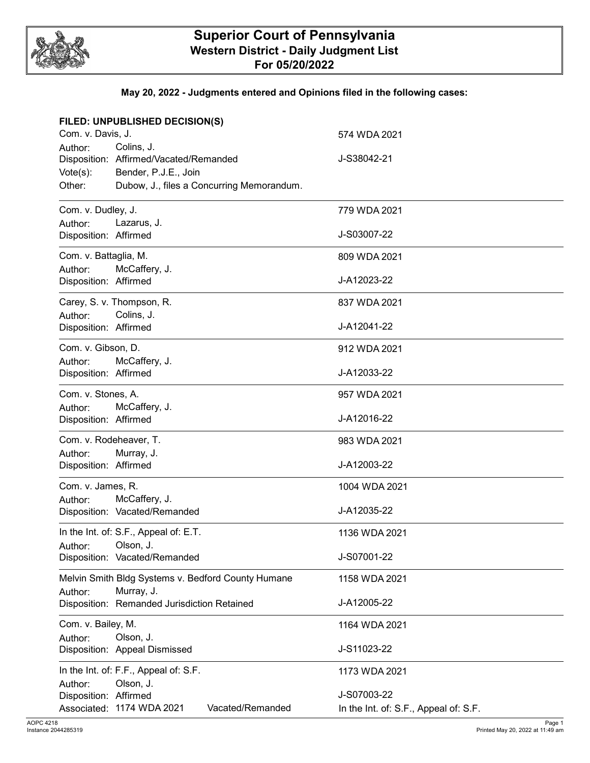

## **Superior Court of Pennsylvania Western District - Daily Judgment List For 05/20/2022**

#### **May 20, 2022 - Judgments entered and Opinions filed in the following cases:**

| FILED: UNPUBLISHED DECISION(S)     |                                                    |                                       |
|------------------------------------|----------------------------------------------------|---------------------------------------|
| Com. v. Davis, J.                  |                                                    | 574 WDA 2021                          |
| Author:                            | Colins, J.                                         |                                       |
|                                    | Disposition: Affirmed/Vacated/Remanded             | J-S38042-21                           |
| $Vote(s)$ :                        | Bender, P.J.E., Join                               |                                       |
| Other:                             | Dubow, J., files a Concurring Memorandum.          |                                       |
| Com. v. Dudley, J.<br>779 WDA 2021 |                                                    |                                       |
| Author:                            | Lazarus, J.                                        |                                       |
| Disposition: Affirmed              |                                                    | J-S03007-22                           |
| Com. v. Battaglia, M.              |                                                    | 809 WDA 2021                          |
| Author:                            | McCaffery, J.                                      |                                       |
| Disposition: Affirmed              |                                                    | J-A12023-22                           |
|                                    | Carey, S. v. Thompson, R.                          | 837 WDA 2021                          |
| Author:                            | Colins, J.                                         |                                       |
| Disposition: Affirmed              |                                                    | J-A12041-22                           |
| Com. v. Gibson, D.                 |                                                    | 912 WDA 2021                          |
| Author:                            | McCaffery, J.                                      |                                       |
| Disposition: Affirmed              |                                                    | J-A12033-22                           |
| Com. v. Stones, A.                 |                                                    | 957 WDA 2021                          |
| Author:                            | McCaffery, J.                                      |                                       |
| Disposition: Affirmed              |                                                    | J-A12016-22                           |
| Com. v. Rodeheaver, T.             |                                                    | 983 WDA 2021                          |
| Author:                            | Murray, J.                                         |                                       |
| Disposition: Affirmed              |                                                    | J-A12003-22                           |
| Com. v. James, R.                  |                                                    | 1004 WDA 2021                         |
| Author:                            | McCaffery, J.                                      |                                       |
|                                    | Disposition: Vacated/Remanded                      | J-A12035-22                           |
|                                    | In the Int. of: S.F., Appeal of: E.T.              | 1136 WDA 2021                         |
| Author:                            | Olson, J.                                          |                                       |
|                                    | Disposition: Vacated/Remanded                      | J-S07001-22                           |
|                                    | Melvin Smith Bldg Systems v. Bedford County Humane | 1158 WDA 2021                         |
| Author:                            | Murray, J.                                         |                                       |
|                                    | Disposition: Remanded Jurisdiction Retained        | J-A12005-22                           |
| Com. v. Bailey, M.                 |                                                    | 1164 WDA 2021                         |
| Author:                            | Olson, J.                                          |                                       |
|                                    | Disposition: Appeal Dismissed                      | J-S11023-22                           |
|                                    | In the Int. of: F.F., Appeal of: S.F.              | 1173 WDA 2021                         |
| Author:                            | Olson, J.                                          |                                       |
| Disposition: Affirmed              |                                                    | J-S07003-22                           |
|                                    | Associated: 1174 WDA 2021<br>Vacated/Remanded      | In the Int. of: S.F., Appeal of: S.F. |